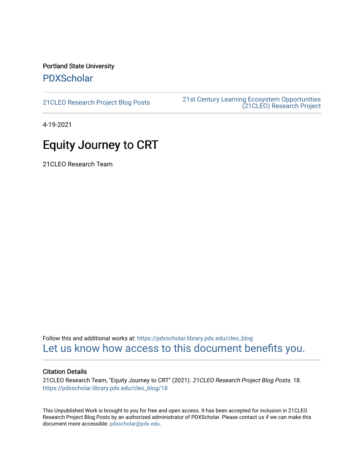Portland State University [PDXScholar](https://pdxscholar.library.pdx.edu/)

[21CLEO Research Project Blog Posts](https://pdxscholar.library.pdx.edu/cleo_blog) [21st Century Learning Ecosystem Opportunities](https://pdxscholar.library.pdx.edu/cleo)  [\(21CLEO\) Research Project](https://pdxscholar.library.pdx.edu/cleo) 

4-19-2021

## Equity Journey to CRT

21CLEO Research Team

Follow this and additional works at: [https://pdxscholar.library.pdx.edu/cleo\\_blog](https://pdxscholar.library.pdx.edu/cleo_blog?utm_source=pdxscholar.library.pdx.edu%2Fcleo_blog%2F18&utm_medium=PDF&utm_campaign=PDFCoverPages)  [Let us know how access to this document benefits you.](http://library.pdx.edu/services/pdxscholar-services/pdxscholar-feedback/?ref=https://pdxscholar.library.pdx.edu/cleo_blog/18) 

#### Citation Details

21CLEO Research Team, "Equity Journey to CRT" (2021). 21CLEO Research Project Blog Posts. 18. [https://pdxscholar.library.pdx.edu/cleo\\_blog/18](https://pdxscholar.library.pdx.edu/cleo_blog/18?utm_source=pdxscholar.library.pdx.edu%2Fcleo_blog%2F18&utm_medium=PDF&utm_campaign=PDFCoverPages)

This Unpublished Work is brought to you for free and open access. It has been accepted for inclusion in 21CLEO Research Project Blog Posts by an authorized administrator of PDXScholar. Please contact us if we can make this document more accessible: [pdxscholar@pdx.edu.](mailto:pdxscholar@pdx.edu)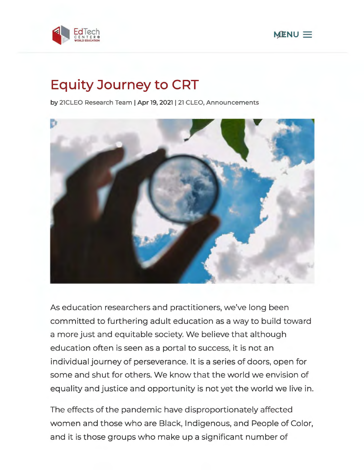



# **Equity Journey to CRT**

**by 21CLEO Research Team** I **Apr 19, 2021** I **21 CLEO, Announcements** 



As education researchers and practitioners, we've long been committed to furthering adult education as a way to build toward a more just and equitable society. We believe that although education often is seen as a portal to success, it is not an individual journey of perseverance. It is a series of doors, open for some and shut for others. We know that the world we envision of equality and justice and opportunity is not yet the world we live in.

The effects of the pandemic have disproportionately affected women and those who are Black, Indigenous, and People of Color, and it is those groups who make up a significant number of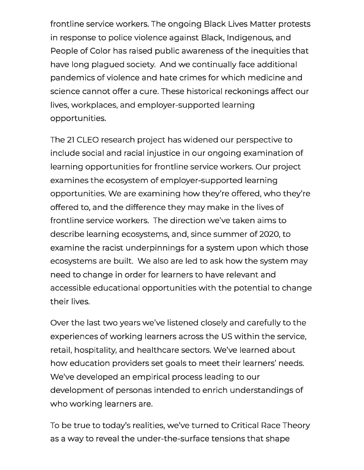frontline service workers. The ongoing Black Lives Matter protests in response to police violence against Black, Indigenous, and People of Color has raised public awareness of the inequities that have long plagued society. And we continually face additional pandemics of violence and hate crimes for which medicine and science cannot offer a cure. These historical reckonings affect our lives, workplaces, and employer-supported learning opportunities.

The 21 CLEO research project has widened our perspective to include social and racial injustice in our ongoing examination of learning opportunities for frontline service workers. Our project examines the ecosystem of employer-supported learning opportunities. We are examining how they're offered, who they're offered to, and the difference they may make in the lives of frontline service workers. The direction we've taken aims to describe learning ecosystems, and, since summer of 2020, to examine the racist underpinnings for a system upon which those ecosystems are built. We also are led to ask how the system may need to change in order for learners to have relevant and accessible educational opportunities with the potential to change their lives.

Over the last two years we've listened closely and carefully to the experiences of working learners across the US within the service, retail, hospitality, and healthcare sectors. We've learned about how education providers set goals to meet their learners' needs. We've developed an empirical process leading to our development of personas intended to enrich understandings of who working learners are.

To be true to today's realities, we've turned to Critical Race Theory as a way to reveal the under-the-surface tensions that shape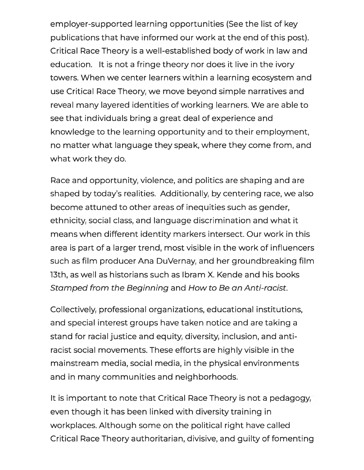employer-supported learning opportunities {See the list of key publications that have informed our work at the end of this post). Critical Race Theory is a well-established body of work in law and education. It is not a fringe theory nor does it live in the ivory towers. When we center learners within a learning ecosystem and use Critical Race Theory, we move beyond simple narratives and reveal many layered identities of working learners. We are able to see that individuals bring a great deal of experience and knowledge to the learning opportunity and to their employment, no matter what language they speak, where they come from, and what work they do.

Race and opportunity, violence, and politics are shaping and are shaped by today's realities. Additionally, by centering race, we also become attuned to other areas of inequities such as gender, ethnicity, social class, and language discrimination and what it means when different identity markers intersect. Our work in this area is part of a larger trend, most visible in the work of influencers such as film producer Ana DuVernay, and her groundbreaking film 13th, as well as historians such as lbram X. Kende and his books Stamped from the Beginning and How to Be an Anti-racist.

Collectively, professional organizations, educational institutions, and special interest groups have taken notice and are taking a stand for racial justice and equity, diversity, inclusion, and antiracist social movements. These efforts are highly visible in the mainstream media, social media, in the physical environments and in many communities and neighborhoods.

It is important to note that Critical Race Theory is not a pedagogy, even though it has been linked with diversity training in workplaces. Although some on the political right have called Critical Race Theory authoritarian, divisive, and guilty of fomenting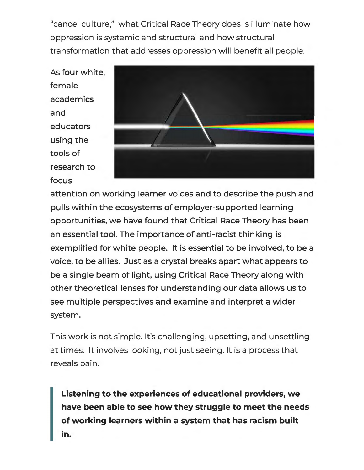"cancel culture," what Critical Race Theory does is illuminate how oppression is systemic and structural and how structural transformation that addresses oppression will benefit all people.

As four white, female academics and educators using the tools of research to focus



attention on working learner voices and to describe the push and pulls within the ecosystems of employer-supported learning opportunities, we have found that Critical Race Theory has been an essential tool. The importance of anti-racist thinking is exemplified for white people. It is essential to be involved, to be a voice, to be allies. Just as a crystal breaks apart what appears to be a single beam of light, using Critical Race Theory along with other theoretical lenses for understanding our data allows us to see multiple perspectives and examine and interpret a wider system.

This work is not simple. It's challenging, upsetting, and unsettling at times. It involves looking, not just seeing. It is a process that reveals pain.

**Listening to the experiences of educational providers, we have been able to see how they struggle to meet the needs of working learners within a system that has racism built in.**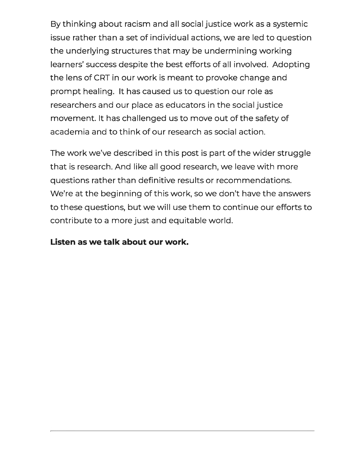By thinking about racism and all social justice work as a systemic issue rather than a set of individual actions, we are led to question the underlying structures that may be undermining working learners' success despite the best efforts of all involved. Adopting the lens of CRT in our work is meant to provoke change and prompt healing. It has caused us to question our role as researchers and our place as educators in the social justice movement. It has challenged us to move out of the safety of academia and to think of our research as social action.

The work we've described in this post is part of the wider struggle that is research. And like all good research, we leave with more questions rather than definitive results or recommendations. We're at the beginning of this work, so we don't have the answers to these questions, but we will use them to continue our efforts to contribute to a more just and equitable world.

### **Listen as we talk about our work.**